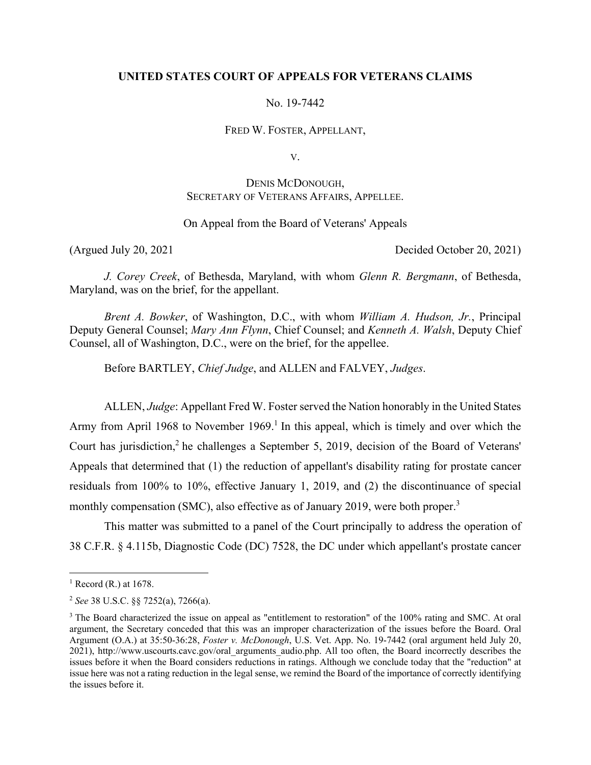### **UNITED STATES COURT OF APPEALS FOR VETERANS CLAIMS**

No. 19-7442

FRED W. FOSTER, APPELLANT,

V.

# DENIS MCDONOUGH, SECRETARY OF VETERANS AFFAIRS, APPELLEE.

### On Appeal from the Board of Veterans' Appeals

(Argued July 20, 2021 Decided October 20, 2021)

*J. Corey Creek*, of Bethesda, Maryland, with whom *Glenn R. Bergmann*, of Bethesda, Maryland, was on the brief, for the appellant.

*Brent A. Bowker*, of Washington, D.C., with whom *William A. Hudson, Jr.*, Principal Deputy General Counsel; *Mary Ann Flynn*, Chief Counsel; and *Kenneth A. Walsh*, Deputy Chief Counsel, all of Washington, D.C., were on the brief, for the appellee.

Before BARTLEY, *Chief Judge*, and ALLEN and FALVEY, *Judges*.

ALLEN, *Judge*: Appellant Fred W. Foster served the Nation honorably in the United States Army from April 1968 to November 1969.<sup>1</sup> In this appeal, which is timely and over which the Court has jurisdiction,<sup>2</sup> he challenges a September 5, 2019, decision of the Board of Veterans' Appeals that determined that (1) the reduction of appellant's disability rating for prostate cancer residuals from 100% to 10%, effective January 1, 2019, and (2) the discontinuance of special monthly compensation (SMC), also effective as of January 2019, were both proper.<sup>3</sup>

 This matter was submitted to a panel of the Court principally to address the operation of 38 C.F.R. § 4.115b, Diagnostic Code (DC) 7528, the DC under which appellant's prostate cancer

 $<sup>1</sup>$  Record (R.) at 1678.</sup>

<sup>2</sup> *See* 38 U.S.C. §§ 7252(a), 7266(a).

<sup>&</sup>lt;sup>3</sup> The Board characterized the issue on appeal as "entitlement to restoration" of the 100% rating and SMC. At oral argument, the Secretary conceded that this was an improper characterization of the issues before the Board. Oral Argument (O.A.) at 35:50-36:28, *Foster v. McDonough*, U.S. Vet. App. No. 19-7442 (oral argument held July 20, 2021), http://www.uscourts.cavc.gov/oral\_arguments\_audio.php. All too often, the Board incorrectly describes the issues before it when the Board considers reductions in ratings. Although we conclude today that the "reduction" at issue here was not a rating reduction in the legal sense, we remind the Board of the importance of correctly identifying the issues before it.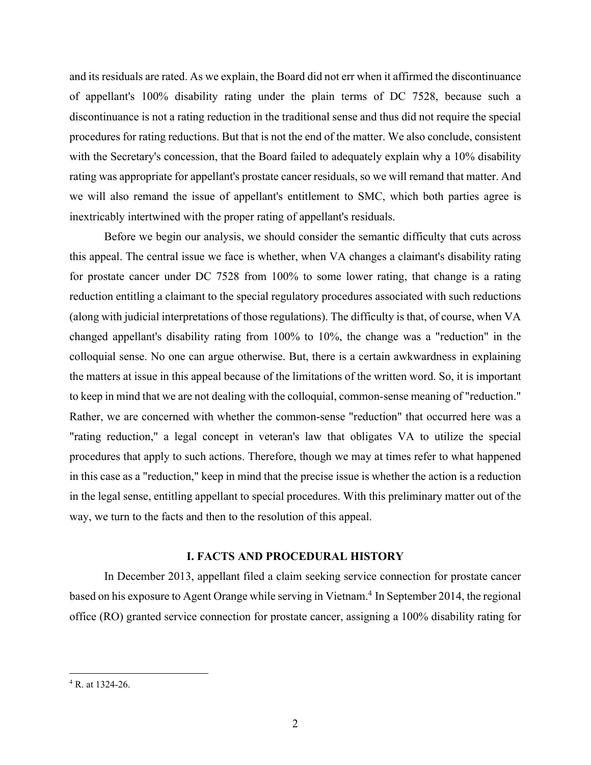and its residuals are rated. As we explain, the Board did not err when it affirmed the discontinuance of appellant's 100% disability rating under the plain terms of DC 7528, because such a discontinuance is not a rating reduction in the traditional sense and thus did not require the special procedures for rating reductions. But that is not the end of the matter. We also conclude, consistent with the Secretary's concession, that the Board failed to adequately explain why a 10% disability rating was appropriate for appellant's prostate cancer residuals, so we will remand that matter. And we will also remand the issue of appellant's entitlement to SMC, which both parties agree is inextricably intertwined with the proper rating of appellant's residuals.

 Before we begin our analysis, we should consider the semantic difficulty that cuts across this appeal. The central issue we face is whether, when VA changes a claimant's disability rating for prostate cancer under DC 7528 from 100% to some lower rating, that change is a rating reduction entitling a claimant to the special regulatory procedures associated with such reductions (along with judicial interpretations of those regulations). The difficulty is that, of course, when VA changed appellant's disability rating from 100% to 10%, the change was a "reduction" in the colloquial sense. No one can argue otherwise. But, there is a certain awkwardness in explaining the matters at issue in this appeal because of the limitations of the written word. So, it is important to keep in mind that we are not dealing with the colloquial, common-sense meaning of "reduction." Rather, we are concerned with whether the common-sense "reduction" that occurred here was a "rating reduction," a legal concept in veteran's law that obligates VA to utilize the special procedures that apply to such actions. Therefore, though we may at times refer to what happened in this case as a "reduction," keep in mind that the precise issue is whether the action is a reduction in the legal sense, entitling appellant to special procedures. With this preliminary matter out of the way, we turn to the facts and then to the resolution of this appeal.

#### **I. FACTS AND PROCEDURAL HISTORY**

In December 2013, appellant filed a claim seeking service connection for prostate cancer based on his exposure to Agent Orange while serving in Vietnam.<sup>4</sup> In September 2014, the regional office (RO) granted service connection for prostate cancer, assigning a 100% disability rating for

<sup>4</sup> R. at 1324-26.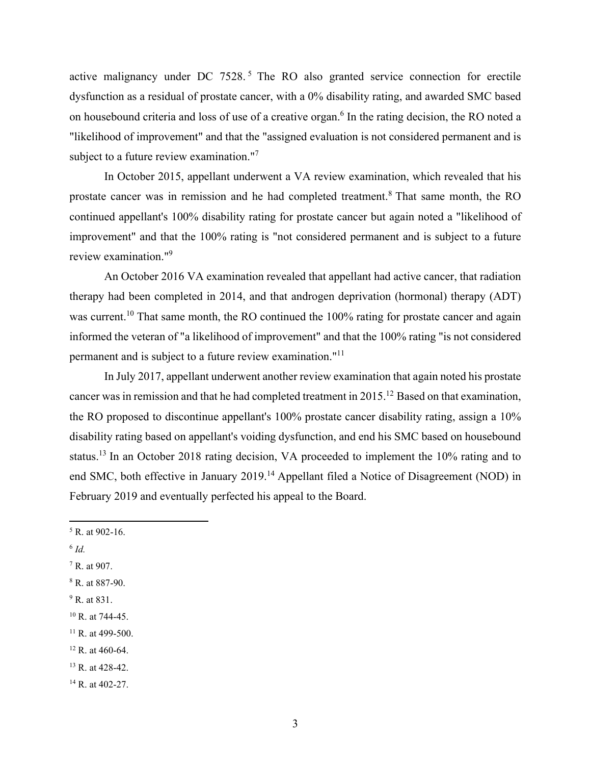active malignancy under DC 7528.<sup>5</sup> The RO also granted service connection for erectile dysfunction as a residual of prostate cancer, with a 0% disability rating, and awarded SMC based on housebound criteria and loss of use of a creative organ.<sup>6</sup> In the rating decision, the RO noted a "likelihood of improvement" and that the "assigned evaluation is not considered permanent and is subject to a future review examination."<sup>7</sup>

 In October 2015, appellant underwent a VA review examination, which revealed that his prostate cancer was in remission and he had completed treatment.<sup>8</sup> That same month, the RO continued appellant's 100% disability rating for prostate cancer but again noted a "likelihood of improvement" and that the 100% rating is "not considered permanent and is subject to a future review examination."9

 An October 2016 VA examination revealed that appellant had active cancer, that radiation therapy had been completed in 2014, and that androgen deprivation (hormonal) therapy (ADT) was current.<sup>10</sup> That same month, the RO continued the 100% rating for prostate cancer and again informed the veteran of "a likelihood of improvement" and that the 100% rating "is not considered permanent and is subject to a future review examination."11

 In July 2017, appellant underwent another review examination that again noted his prostate cancer was in remission and that he had completed treatment in 2015.12 Based on that examination, the RO proposed to discontinue appellant's 100% prostate cancer disability rating, assign a 10% disability rating based on appellant's voiding dysfunction, and end his SMC based on housebound status.<sup>13</sup> In an October 2018 rating decision, VA proceeded to implement the 10% rating and to end SMC, both effective in January 2019.<sup>14</sup> Appellant filed a Notice of Disagreement (NOD) in February 2019 and eventually perfected his appeal to the Board.

- <sup>6</sup> *Id.*
- 7 R. at 907.
- 8 R. at 887-90.
- <sup>9</sup> R. at 831.
- $10$  R. at 744-45.
- $11$  R. at 499-500.
- $12$  R. at 460-64.
- <sup>13</sup> R. at 428-42.
- <sup>14</sup> R. at 402-27.

 $5$  R. at 902-16.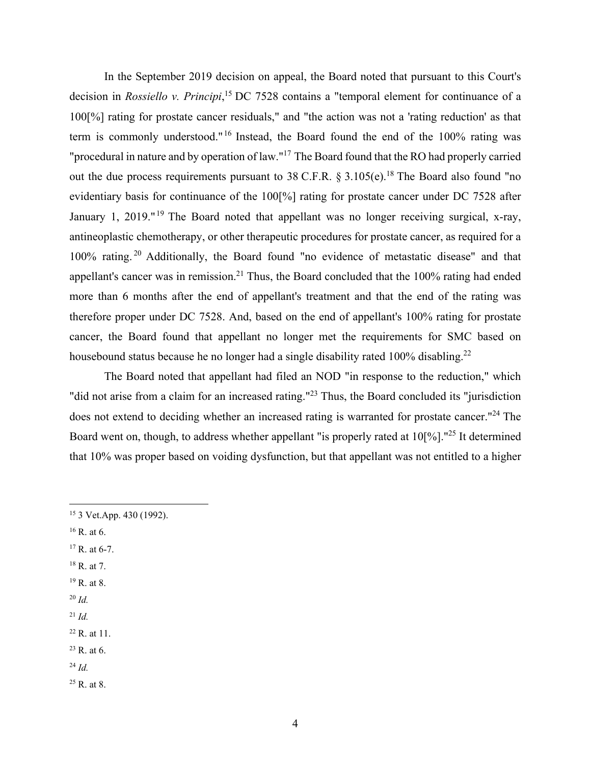In the September 2019 decision on appeal, the Board noted that pursuant to this Court's decision in *Rossiello v. Principi*, <sup>15</sup> DC 7528 contains a "temporal element for continuance of a 100[%] rating for prostate cancer residuals," and "the action was not a 'rating reduction' as that term is commonly understood." 16 Instead, the Board found the end of the 100% rating was "procedural in nature and by operation of law."17 The Board found that the RO had properly carried out the due process requirements pursuant to 38 C.F.R.  $\S 3.105(e)$ .<sup>18</sup> The Board also found "no evidentiary basis for continuance of the 100[%] rating for prostate cancer under DC 7528 after January 1, 2019."<sup>19</sup> The Board noted that appellant was no longer receiving surgical, x-ray, antineoplastic chemotherapy, or other therapeutic procedures for prostate cancer, as required for a 100% rating. 20 Additionally, the Board found "no evidence of metastatic disease" and that appellant's cancer was in remission.<sup>21</sup> Thus, the Board concluded that the  $100\%$  rating had ended more than 6 months after the end of appellant's treatment and that the end of the rating was therefore proper under DC 7528. And, based on the end of appellant's 100% rating for prostate cancer, the Board found that appellant no longer met the requirements for SMC based on housebound status because he no longer had a single disability rated 100% disabling.<sup>22</sup>

 The Board noted that appellant had filed an NOD "in response to the reduction," which "did not arise from a claim for an increased rating."<sup>23</sup> Thus, the Board concluded its "jurisdiction" does not extend to deciding whether an increased rating is warranted for prostate cancer.<sup>"24</sup> The Board went on, though, to address whether appellant "is properly rated at 10[%]."<sup>25</sup> It determined that 10% was proper based on voiding dysfunction, but that appellant was not entitled to a higher

- 16 R. at 6.
- $17 R.$  at 6-7.
- $18$  R. at 7.
- 19 R. at 8.
- <sup>20</sup> *Id.*
- $^{21}$  *Id.*
- 22 R. at 11.
- $23$  R. at 6.
- <sup>24</sup> *Id.*
- 25 R. at 8.

<sup>15 3</sup> Vet.App. 430 (1992).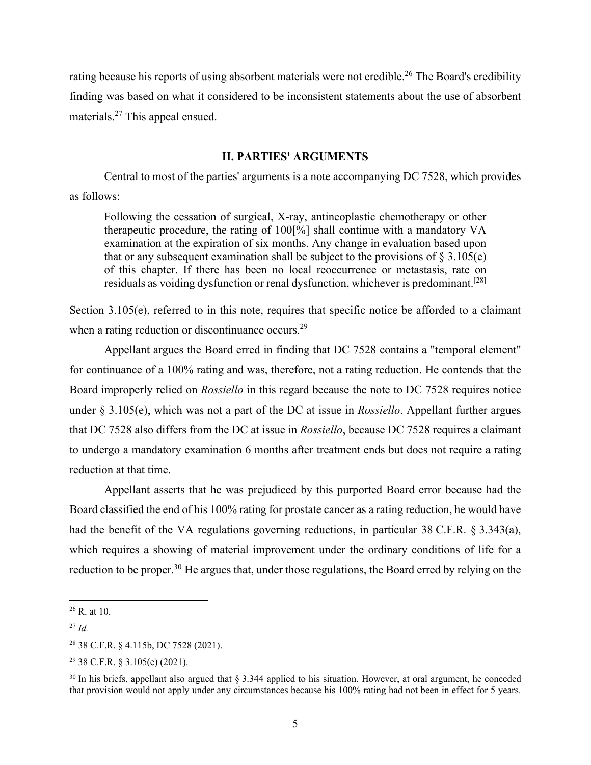rating because his reports of using absorbent materials were not credible.<sup>26</sup> The Board's credibility finding was based on what it considered to be inconsistent statements about the use of absorbent materials.27 This appeal ensued.

#### **II. PARTIES' ARGUMENTS**

 Central to most of the parties' arguments is a note accompanying DC 7528, which provides as follows:

Following the cessation of surgical, X-ray, antineoplastic chemotherapy or other therapeutic procedure, the rating of 100[%] shall continue with a mandatory VA examination at the expiration of six months. Any change in evaluation based upon that or any subsequent examination shall be subject to the provisions of  $\S 3.105(e)$ of this chapter. If there has been no local reoccurrence or metastasis, rate on residuals as voiding dysfunction or renal dysfunction, whichever is predominant.<sup>[28]</sup>

Section 3.105(e), referred to in this note, requires that specific notice be afforded to a claimant when a rating reduction or discontinuance occurs.<sup>29</sup>

Appellant argues the Board erred in finding that DC 7528 contains a "temporal element" for continuance of a 100% rating and was, therefore, not a rating reduction. He contends that the Board improperly relied on *Rossiello* in this regard because the note to DC 7528 requires notice under § 3.105(e), which was not a part of the DC at issue in *Rossiello*. Appellant further argues that DC 7528 also differs from the DC at issue in *Rossiello*, because DC 7528 requires a claimant to undergo a mandatory examination 6 months after treatment ends but does not require a rating reduction at that time.

Appellant asserts that he was prejudiced by this purported Board error because had the Board classified the end of his 100% rating for prostate cancer as a rating reduction, he would have had the benefit of the VA regulations governing reductions, in particular 38 C.F.R. § 3.343(a), which requires a showing of material improvement under the ordinary conditions of life for a reduction to be proper.<sup>30</sup> He argues that, under those regulations, the Board erred by relying on the

 $26$  R. at 10.

<sup>27</sup> *Id.*

<sup>28 38</sup> C.F.R. § 4.115b, DC 7528 (2021).

<sup>29 38</sup> C.F.R. § 3.105(e) (2021).

 $30$  In his briefs, appellant also argued that § 3.344 applied to his situation. However, at oral argument, he conceded that provision would not apply under any circumstances because his 100% rating had not been in effect for 5 years.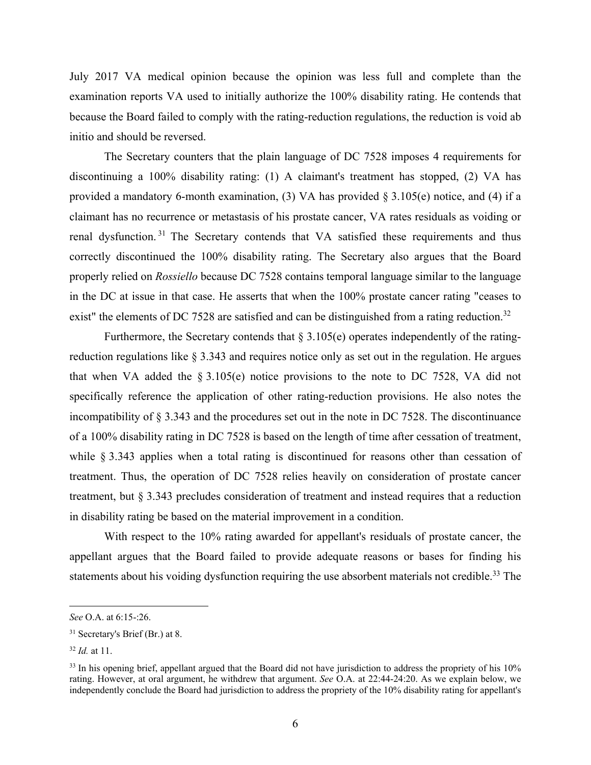July 2017 VA medical opinion because the opinion was less full and complete than the examination reports VA used to initially authorize the 100% disability rating. He contends that because the Board failed to comply with the rating-reduction regulations, the reduction is void ab initio and should be reversed.

 The Secretary counters that the plain language of DC 7528 imposes 4 requirements for discontinuing a 100% disability rating: (1) A claimant's treatment has stopped, (2) VA has provided a mandatory 6-month examination, (3) VA has provided § 3.105(e) notice, and (4) if a claimant has no recurrence or metastasis of his prostate cancer, VA rates residuals as voiding or renal dysfunction. 31 The Secretary contends that VA satisfied these requirements and thus correctly discontinued the 100% disability rating. The Secretary also argues that the Board properly relied on *Rossiello* because DC 7528 contains temporal language similar to the language in the DC at issue in that case. He asserts that when the 100% prostate cancer rating "ceases to exist" the elements of DC 7528 are satisfied and can be distinguished from a rating reduction.<sup>32</sup>

Furthermore, the Secretary contends that  $\S 3.105(e)$  operates independently of the ratingreduction regulations like § 3.343 and requires notice only as set out in the regulation. He argues that when VA added the  $\S 3.105(e)$  notice provisions to the note to DC 7528, VA did not specifically reference the application of other rating-reduction provisions. He also notes the incompatibility of § 3.343 and the procedures set out in the note in DC 7528. The discontinuance of a 100% disability rating in DC 7528 is based on the length of time after cessation of treatment, while § 3.343 applies when a total rating is discontinued for reasons other than cessation of treatment. Thus, the operation of DC 7528 relies heavily on consideration of prostate cancer treatment, but § 3.343 precludes consideration of treatment and instead requires that a reduction in disability rating be based on the material improvement in a condition.

 With respect to the 10% rating awarded for appellant's residuals of prostate cancer, the appellant argues that the Board failed to provide adequate reasons or bases for finding his statements about his voiding dysfunction requiring the use absorbent materials not credible.<sup>33</sup> The

*See* O.A. at 6:15-:26.

<sup>31</sup> Secretary's Brief (Br.) at 8.

<sup>32</sup> *Id.* at 11.

<sup>&</sup>lt;sup>33</sup> In his opening brief, appellant argued that the Board did not have jurisdiction to address the propriety of his 10% rating. However, at oral argument, he withdrew that argument. *See* O.A. at 22:44-24:20. As we explain below, we independently conclude the Board had jurisdiction to address the propriety of the 10% disability rating for appellant's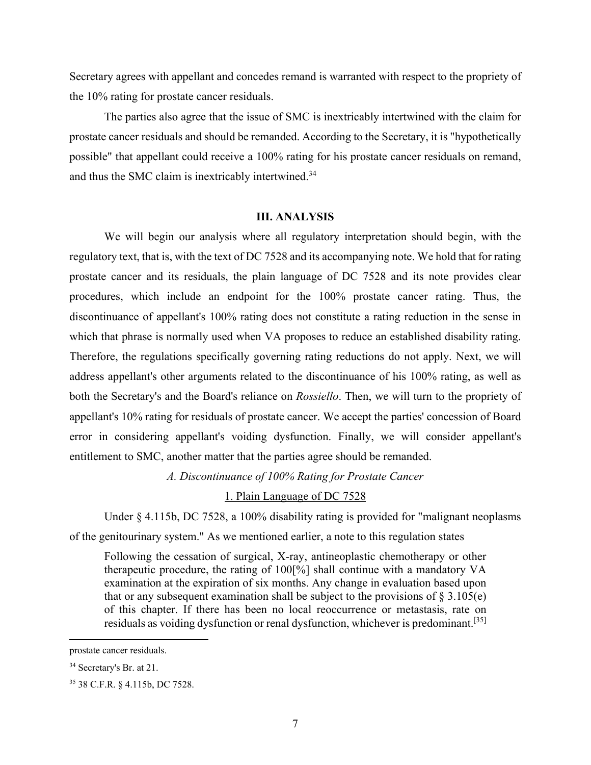Secretary agrees with appellant and concedes remand is warranted with respect to the propriety of the 10% rating for prostate cancer residuals.

 The parties also agree that the issue of SMC is inextricably intertwined with the claim for prostate cancer residuals and should be remanded. According to the Secretary, it is "hypothetically possible" that appellant could receive a 100% rating for his prostate cancer residuals on remand, and thus the SMC claim is inextricably intertwined.<sup>34</sup>

#### **III. ANALYSIS**

 We will begin our analysis where all regulatory interpretation should begin, with the regulatory text, that is, with the text of DC 7528 and its accompanying note. We hold that for rating prostate cancer and its residuals, the plain language of DC 7528 and its note provides clear procedures, which include an endpoint for the 100% prostate cancer rating. Thus, the discontinuance of appellant's 100% rating does not constitute a rating reduction in the sense in which that phrase is normally used when VA proposes to reduce an established disability rating. Therefore, the regulations specifically governing rating reductions do not apply. Next, we will address appellant's other arguments related to the discontinuance of his 100% rating, as well as both the Secretary's and the Board's reliance on *Rossiello*. Then, we will turn to the propriety of appellant's 10% rating for residuals of prostate cancer. We accept the parties' concession of Board error in considering appellant's voiding dysfunction. Finally, we will consider appellant's entitlement to SMC, another matter that the parties agree should be remanded.

*A. Discontinuance of 100% Rating for Prostate Cancer* 

1. Plain Language of DC 7528

 Under § 4.115b, DC 7528, a 100% disability rating is provided for "malignant neoplasms of the genitourinary system." As we mentioned earlier, a note to this regulation states

Following the cessation of surgical, X-ray, antineoplastic chemotherapy or other therapeutic procedure, the rating of 100[%] shall continue with a mandatory VA examination at the expiration of six months. Any change in evaluation based upon that or any subsequent examination shall be subject to the provisions of  $\S 3.105(e)$ of this chapter. If there has been no local reoccurrence or metastasis, rate on residuals as voiding dysfunction or renal dysfunction, whichever is predominant.[35]

prostate cancer residuals.

<sup>34</sup> Secretary's Br. at 21.

<sup>35 38</sup> C.F.R. § 4.115b, DC 7528.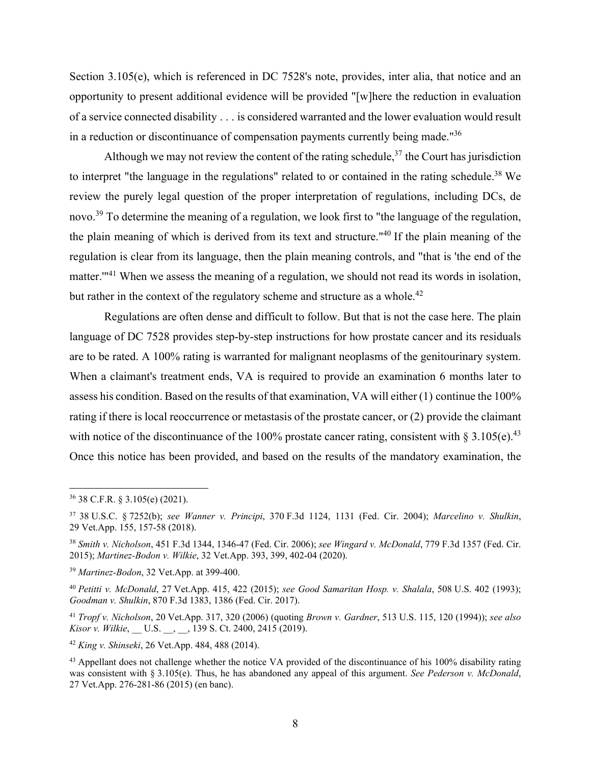Section 3.105(e), which is referenced in DC 7528's note, provides, inter alia, that notice and an opportunity to present additional evidence will be provided "[w]here the reduction in evaluation of a service connected disability . . . is considered warranted and the lower evaluation would result in a reduction or discontinuance of compensation payments currently being made."36

Although we may not review the content of the rating schedule,  $37$  the Court has jurisdiction to interpret "the language in the regulations" related to or contained in the rating schedule.38 We review the purely legal question of the proper interpretation of regulations, including DCs, de novo.<sup>39</sup> To determine the meaning of a regulation, we look first to "the language of the regulation, the plain meaning of which is derived from its text and structure."40 If the plain meaning of the regulation is clear from its language, then the plain meaning controls, and "that is 'the end of the matter."<sup>41</sup> When we assess the meaning of a regulation, we should not read its words in isolation, but rather in the context of the regulatory scheme and structure as a whole.<sup>42</sup>

 Regulations are often dense and difficult to follow. But that is not the case here. The plain language of DC 7528 provides step-by-step instructions for how prostate cancer and its residuals are to be rated. A 100% rating is warranted for malignant neoplasms of the genitourinary system. When a claimant's treatment ends, VA is required to provide an examination 6 months later to assess his condition. Based on the results of that examination, VA will either (1) continue the 100% rating if there is local reoccurrence or metastasis of the prostate cancer, or (2) provide the claimant with notice of the discontinuance of the 100% prostate cancer rating, consistent with  $\S 3.105(e)^{43}$ Once this notice has been provided, and based on the results of the mandatory examination, the

<sup>39</sup> *Martinez-Bodon*, 32 Vet.App. at 399-400.

<sup>42</sup> *King v. Shinseki*, 26 Vet.App. 484, 488 (2014).

<sup>36 38</sup> C.F.R. § 3.105(e) (2021).

<sup>37 38</sup> U.S.C. § 7252(b); *see Wanner v. Principi*, 370 F.3d 1124, 1131 (Fed. Cir. 2004); *Marcelino v. Shulkin*, 29 Vet.App. 155, 157-58 (2018).

<sup>38</sup> *Smith v. Nicholson*, 451 F.3d 1344, 1346-47 (Fed. Cir. 2006); *see Wingard v. McDonald*, 779 F.3d 1357 (Fed. Cir. 2015); *Martinez-Bodon v. Wilkie*, 32 Vet.App. 393, 399, 402-04 (2020).

<sup>40</sup> *Petitti v. McDonald*, 27 Vet.App. 415, 422 (2015); *see Good Samaritan Hosp. v. Shalala*, 508 U.S. 402 (1993); *Goodman v. Shulkin*, 870 F.3d 1383, 1386 (Fed. Cir. 2017).

<sup>41</sup> *Tropf v. Nicholson*, 20 Vet.App. 317, 320 (2006) (quoting *Brown v. Gardner*, 513 U.S. 115, 120 (1994)); *see also Kisor v. Wilkie*, U.S. , 139 S. Ct. 2400, 2415 (2019).

<sup>&</sup>lt;sup>43</sup> Appellant does not challenge whether the notice VA provided of the discontinuance of his 100% disability rating was consistent with § 3.105(e). Thus, he has abandoned any appeal of this argument. *See Pederson v. McDonald*, 27 Vet.App. 276-281-86 (2015) (en banc).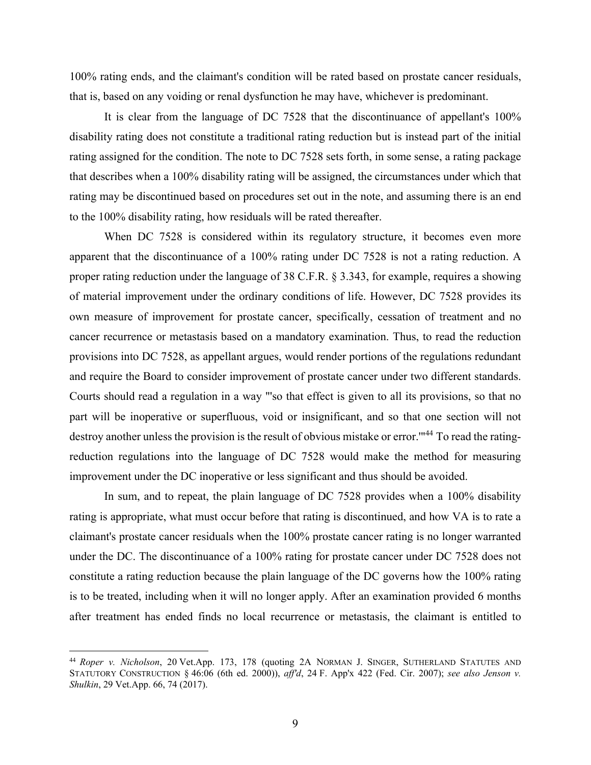100% rating ends, and the claimant's condition will be rated based on prostate cancer residuals, that is, based on any voiding or renal dysfunction he may have, whichever is predominant.

 It is clear from the language of DC 7528 that the discontinuance of appellant's 100% disability rating does not constitute a traditional rating reduction but is instead part of the initial rating assigned for the condition. The note to DC 7528 sets forth, in some sense, a rating package that describes when a 100% disability rating will be assigned, the circumstances under which that rating may be discontinued based on procedures set out in the note, and assuming there is an end to the 100% disability rating, how residuals will be rated thereafter.

When DC 7528 is considered within its regulatory structure, it becomes even more apparent that the discontinuance of a 100% rating under DC 7528 is not a rating reduction. A proper rating reduction under the language of 38 C.F.R. § 3.343, for example, requires a showing of material improvement under the ordinary conditions of life. However, DC 7528 provides its own measure of improvement for prostate cancer, specifically, cessation of treatment and no cancer recurrence or metastasis based on a mandatory examination. Thus, to read the reduction provisions into DC 7528, as appellant argues, would render portions of the regulations redundant and require the Board to consider improvement of prostate cancer under two different standards. Courts should read a regulation in a way "'so that effect is given to all its provisions, so that no part will be inoperative or superfluous, void or insignificant, and so that one section will not destroy another unless the provision is the result of obvious mistake or error."<sup>44</sup> To read the ratingreduction regulations into the language of DC 7528 would make the method for measuring improvement under the DC inoperative or less significant and thus should be avoided.

 In sum, and to repeat, the plain language of DC 7528 provides when a 100% disability rating is appropriate, what must occur before that rating is discontinued, and how VA is to rate a claimant's prostate cancer residuals when the 100% prostate cancer rating is no longer warranted under the DC. The discontinuance of a 100% rating for prostate cancer under DC 7528 does not constitute a rating reduction because the plain language of the DC governs how the 100% rating is to be treated, including when it will no longer apply. After an examination provided 6 months after treatment has ended finds no local recurrence or metastasis, the claimant is entitled to

<sup>44</sup> *Roper v. Nicholson*, 20 Vet.App. 173, 178 (quoting 2A NORMAN J. SINGER, SUTHERLAND STATUTES AND STATUTORY CONSTRUCTION § 46:06 (6th ed. 2000)), *aff'd*, 24 F. App'x 422 (Fed. Cir. 2007); *see also Jenson v. Shulkin*, 29 Vet.App. 66, 74 (2017).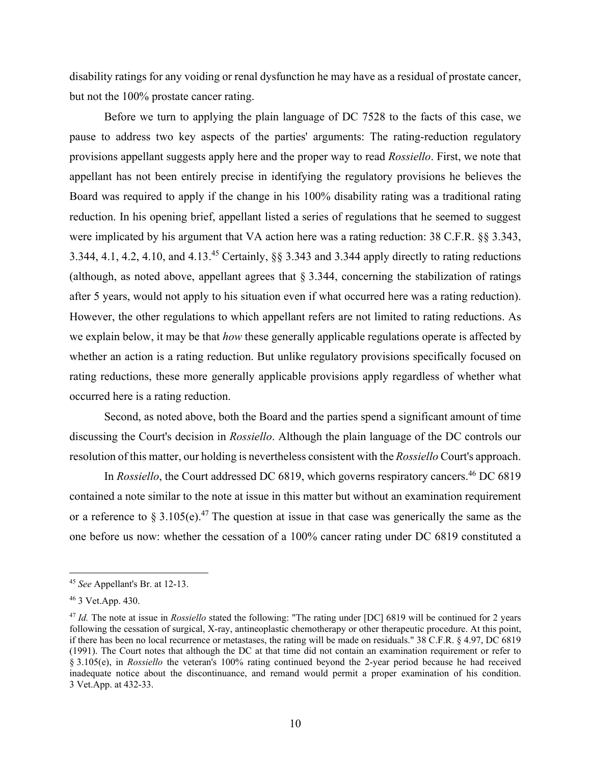disability ratings for any voiding or renal dysfunction he may have as a residual of prostate cancer, but not the 100% prostate cancer rating.

Before we turn to applying the plain language of DC 7528 to the facts of this case, we pause to address two key aspects of the parties' arguments: The rating-reduction regulatory provisions appellant suggests apply here and the proper way to read *Rossiello*. First, we note that appellant has not been entirely precise in identifying the regulatory provisions he believes the Board was required to apply if the change in his 100% disability rating was a traditional rating reduction. In his opening brief, appellant listed a series of regulations that he seemed to suggest were implicated by his argument that VA action here was a rating reduction: 38 C.F.R. §§ 3.343, 3.344, 4.1, 4.2, 4.10, and 4.13.45 Certainly, §§ 3.343 and 3.344 apply directly to rating reductions (although, as noted above, appellant agrees that  $\S$  3.344, concerning the stabilization of ratings after 5 years, would not apply to his situation even if what occurred here was a rating reduction). However, the other regulations to which appellant refers are not limited to rating reductions. As we explain below, it may be that *how* these generally applicable regulations operate is affected by whether an action is a rating reduction. But unlike regulatory provisions specifically focused on rating reductions, these more generally applicable provisions apply regardless of whether what occurred here is a rating reduction.

Second, as noted above, both the Board and the parties spend a significant amount of time discussing the Court's decision in *Rossiello*. Although the plain language of the DC controls our resolution of this matter, our holding is nevertheless consistent with the *Rossiello* Court's approach.

In *Rossiello*, the Court addressed DC 6819, which governs respiratory cancers.<sup>46</sup> DC 6819 contained a note similar to the note at issue in this matter but without an examination requirement or a reference to § 3.105(e).<sup>47</sup> The question at issue in that case was generically the same as the one before us now: whether the cessation of a 100% cancer rating under DC 6819 constituted a

<sup>45</sup> *See* Appellant's Br. at 12-13.

<sup>46 3</sup> Vet.App. 430.

<sup>47</sup> *Id.* The note at issue in *Rossiello* stated the following: "The rating under [DC] 6819 will be continued for 2 years following the cessation of surgical, X-ray, antineoplastic chemotherapy or other therapeutic procedure. At this point, if there has been no local recurrence or metastases, the rating will be made on residuals." 38 C.F.R. § 4.97, DC 6819 (1991). The Court notes that although the DC at that time did not contain an examination requirement or refer to § 3.105(e), in *Rossiello* the veteran's 100% rating continued beyond the 2-year period because he had received inadequate notice about the discontinuance, and remand would permit a proper examination of his condition. 3 Vet.App. at 432-33.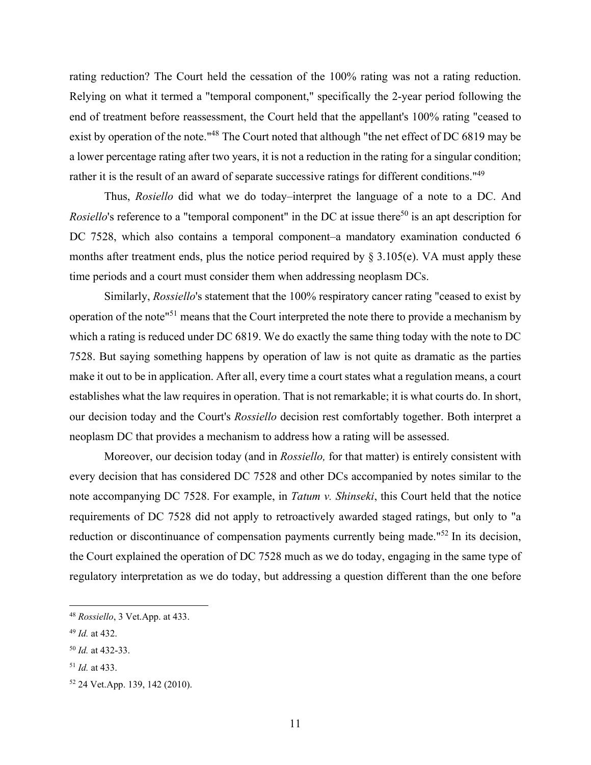rating reduction? The Court held the cessation of the 100% rating was not a rating reduction. Relying on what it termed a "temporal component," specifically the 2-year period following the end of treatment before reassessment, the Court held that the appellant's 100% rating "ceased to exist by operation of the note."<sup>48</sup> The Court noted that although "the net effect of DC 6819 may be a lower percentage rating after two years, it is not a reduction in the rating for a singular condition; rather it is the result of an award of separate successive ratings for different conditions."<sup>49</sup>

 Thus, *Rosiello* did what we do today–interpret the language of a note to a DC. And *Rosiello's* reference to a "temporal component" in the DC at issue there<sup>50</sup> is an apt description for DC 7528, which also contains a temporal component–a mandatory examination conducted 6 months after treatment ends, plus the notice period required by  $\S 3.105(e)$ . VA must apply these time periods and a court must consider them when addressing neoplasm DCs.

 Similarly, *Rossiello*'s statement that the 100% respiratory cancer rating "ceased to exist by operation of the note"51 means that the Court interpreted the note there to provide a mechanism by which a rating is reduced under DC 6819. We do exactly the same thing today with the note to DC 7528. But saying something happens by operation of law is not quite as dramatic as the parties make it out to be in application. After all, every time a court states what a regulation means, a court establishes what the law requires in operation. That is not remarkable; it is what courts do. In short, our decision today and the Court's *Rossiello* decision rest comfortably together. Both interpret a neoplasm DC that provides a mechanism to address how a rating will be assessed.

 Moreover, our decision today (and in *Rossiello,* for that matter) is entirely consistent with every decision that has considered DC 7528 and other DCs accompanied by notes similar to the note accompanying DC 7528. For example, in *Tatum v. Shinseki*, this Court held that the notice requirements of DC 7528 did not apply to retroactively awarded staged ratings, but only to "a reduction or discontinuance of compensation payments currently being made."<sup>52</sup> In its decision, the Court explained the operation of DC 7528 much as we do today, engaging in the same type of regulatory interpretation as we do today, but addressing a question different than the one before

<sup>48</sup> *Rossiello*, 3 Vet.App. at 433.

<sup>49</sup> *Id.* at 432.

<sup>50</sup> *Id.* at 432-33.

<sup>51</sup> *Id.* at 433.

<sup>52 24</sup> Vet.App. 139, 142 (2010).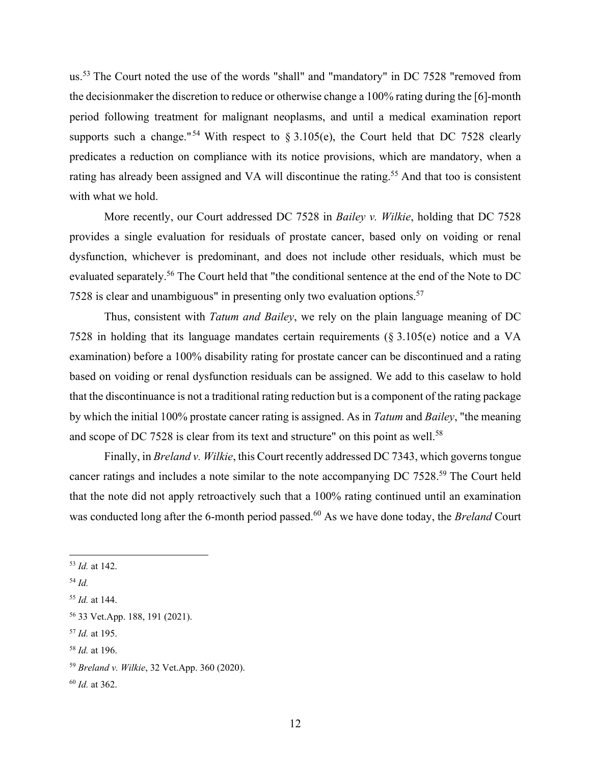us.53 The Court noted the use of the words "shall" and "mandatory" in DC 7528 "removed from the decisionmaker the discretion to reduce or otherwise change a 100% rating during the [6]-month period following treatment for malignant neoplasms, and until a medical examination report supports such a change."<sup>54</sup> With respect to § 3.105(e), the Court held that DC 7528 clearly predicates a reduction on compliance with its notice provisions, which are mandatory, when a rating has already been assigned and VA will discontinue the rating.<sup>55</sup> And that too is consistent with what we hold.

 More recently, our Court addressed DC 7528 in *Bailey v. Wilkie*, holding that DC 7528 provides a single evaluation for residuals of prostate cancer, based only on voiding or renal dysfunction, whichever is predominant, and does not include other residuals, which must be evaluated separately.<sup>56</sup> The Court held that "the conditional sentence at the end of the Note to DC 7528 is clear and unambiguous" in presenting only two evaluation options.57

 Thus, consistent with *Tatum and Bailey*, we rely on the plain language meaning of DC 7528 in holding that its language mandates certain requirements (§ 3.105(e) notice and a VA examination) before a 100% disability rating for prostate cancer can be discontinued and a rating based on voiding or renal dysfunction residuals can be assigned. We add to this caselaw to hold that the discontinuance is not a traditional rating reduction but is a component of the rating package by which the initial 100% prostate cancer rating is assigned. As in *Tatum* and *Bailey*, "the meaning and scope of DC 7528 is clear from its text and structure" on this point as well.<sup>58</sup>

 Finally, in *Breland v. Wilkie*, this Court recently addressed DC 7343, which governs tongue cancer ratings and includes a note similar to the note accompanying DC 7528.59 The Court held that the note did not apply retroactively such that a 100% rating continued until an examination was conducted long after the 6-month period passed.<sup>60</sup> As we have done today, the *Breland* Court

<sup>53</sup> *Id.* at 142.

<sup>54</sup> *Id.* 

<sup>55</sup> *Id.* at 144.

<sup>56 33</sup> Vet.App. 188, 191 (2021).

<sup>57</sup> *Id.* at 195.

<sup>58</sup> *Id.* at 196.

<sup>59</sup> *Breland v. Wilkie*, 32 Vet.App. 360 (2020).

<sup>60</sup> *Id.* at 362.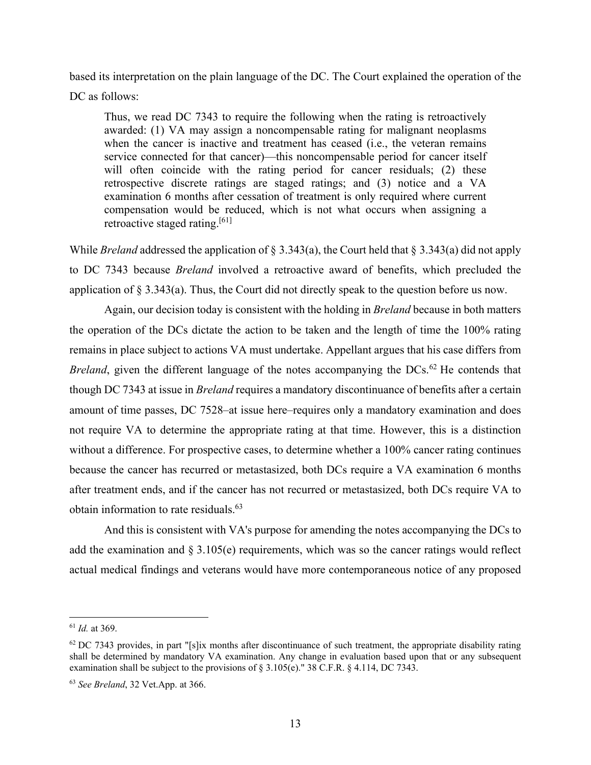based its interpretation on the plain language of the DC. The Court explained the operation of the DC as follows:

Thus, we read DC 7343 to require the following when the rating is retroactively awarded: (1) VA may assign a noncompensable rating for malignant neoplasms when the cancer is inactive and treatment has ceased (i.e., the veteran remains service connected for that cancer)—this noncompensable period for cancer itself will often coincide with the rating period for cancer residuals; (2) these retrospective discrete ratings are staged ratings; and (3) notice and a VA examination 6 months after cessation of treatment is only required where current compensation would be reduced, which is not what occurs when assigning a retroactive staged rating.<sup>[61]</sup>

While *Breland* addressed the application of § 3.343(a), the Court held that § 3.343(a) did not apply to DC 7343 because *Breland* involved a retroactive award of benefits, which precluded the application of § 3.343(a). Thus, the Court did not directly speak to the question before us now.

 Again, our decision today is consistent with the holding in *Breland* because in both matters the operation of the DCs dictate the action to be taken and the length of time the 100% rating remains in place subject to actions VA must undertake. Appellant argues that his case differs from *Breland*, given the different language of the notes accompanying the  $DCs$ .<sup>62</sup> He contends that though DC 7343 at issue in *Breland* requires a mandatory discontinuance of benefits after a certain amount of time passes, DC 7528–at issue here–requires only a mandatory examination and does not require VA to determine the appropriate rating at that time. However, this is a distinction without a difference. For prospective cases, to determine whether a 100% cancer rating continues because the cancer has recurred or metastasized, both DCs require a VA examination 6 months after treatment ends, and if the cancer has not recurred or metastasized, both DCs require VA to obtain information to rate residuals.63

And this is consistent with VA's purpose for amending the notes accompanying the DCs to add the examination and  $\S 3.105(e)$  requirements, which was so the cancer ratings would reflect actual medical findings and veterans would have more contemporaneous notice of any proposed

<sup>61</sup> *Id.* at 369.

 $62$  DC 7343 provides, in part "[s]ix months after discontinuance of such treatment, the appropriate disability rating shall be determined by mandatory VA examination. Any change in evaluation based upon that or any subsequent examination shall be subject to the provisions of § 3.105(e)." 38 C.F.R. § 4.114, DC 7343.

<sup>63</sup> *See Breland*, 32 Vet.App. at 366.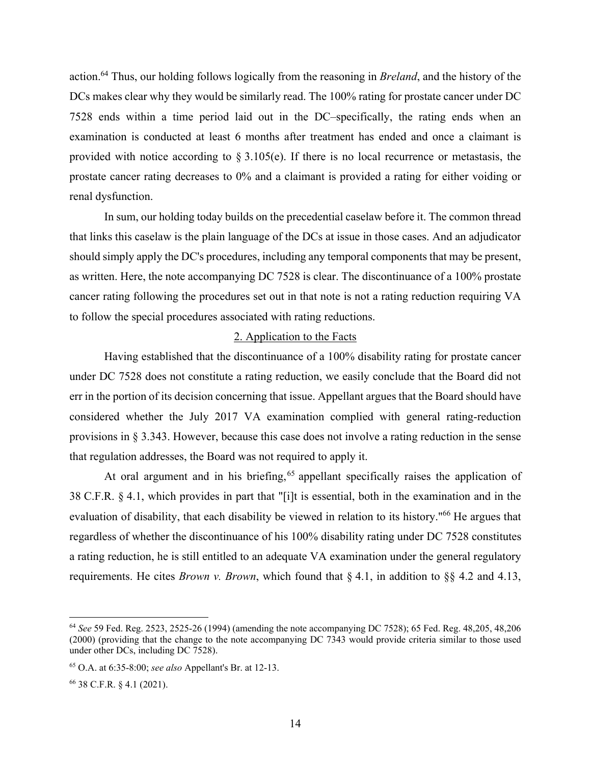action.64 Thus, our holding follows logically from the reasoning in *Breland*, and the history of the DCs makes clear why they would be similarly read. The 100% rating for prostate cancer under DC 7528 ends within a time period laid out in the DC–specifically, the rating ends when an examination is conducted at least 6 months after treatment has ended and once a claimant is provided with notice according to  $\S 3.105(e)$ . If there is no local recurrence or metastasis, the prostate cancer rating decreases to 0% and a claimant is provided a rating for either voiding or renal dysfunction.

 In sum, our holding today builds on the precedential caselaw before it. The common thread that links this caselaw is the plain language of the DCs at issue in those cases. And an adjudicator should simply apply the DC's procedures, including any temporal components that may be present, as written. Here, the note accompanying DC 7528 is clear. The discontinuance of a 100% prostate cancer rating following the procedures set out in that note is not a rating reduction requiring VA to follow the special procedures associated with rating reductions.

## 2. Application to the Facts

 Having established that the discontinuance of a 100% disability rating for prostate cancer under DC 7528 does not constitute a rating reduction, we easily conclude that the Board did not err in the portion of its decision concerning that issue. Appellant argues that the Board should have considered whether the July 2017 VA examination complied with general rating-reduction provisions in § 3.343. However, because this case does not involve a rating reduction in the sense that regulation addresses, the Board was not required to apply it.

At oral argument and in his briefing,  $65$  appellant specifically raises the application of 38 C.F.R. § 4.1, which provides in part that "[i]t is essential, both in the examination and in the evaluation of disability, that each disability be viewed in relation to its history."<sup>66</sup> He argues that regardless of whether the discontinuance of his 100% disability rating under DC 7528 constitutes a rating reduction, he is still entitled to an adequate VA examination under the general regulatory requirements. He cites *Brown v. Brown*, which found that § 4.1, in addition to §§ 4.2 and 4.13,

<sup>64</sup> *See* 59 Fed. Reg. 2523, 2525-26 (1994) (amending the note accompanying DC 7528); 65 Fed. Reg. 48,205, 48,206 (2000) (providing that the change to the note accompanying DC 7343 would provide criteria similar to those used under other DCs, including DC 7528).

<sup>65</sup> O.A. at 6:35-8:00; *see also* Appellant's Br. at 12-13.

<sup>66 38</sup> C.F.R. § 4.1 (2021).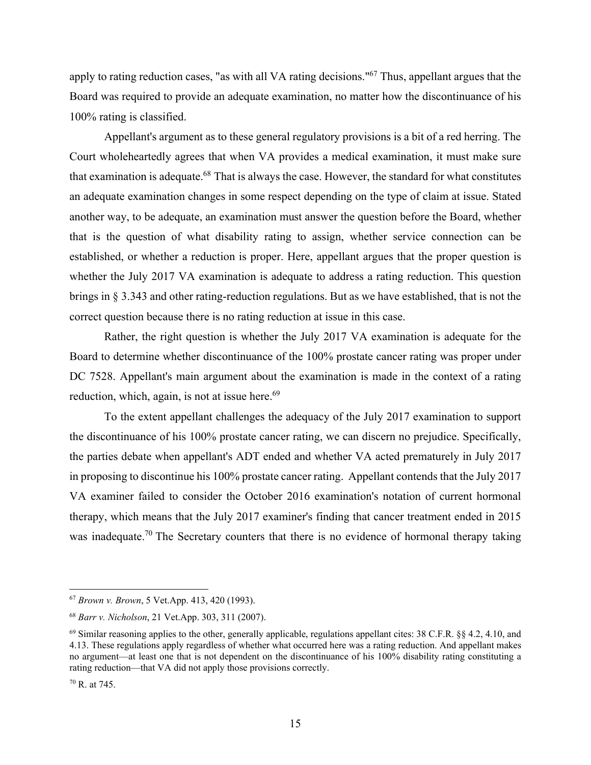apply to rating reduction cases, "as with all VA rating decisions."67 Thus, appellant argues that the Board was required to provide an adequate examination, no matter how the discontinuance of his 100% rating is classified.

 Appellant's argument as to these general regulatory provisions is a bit of a red herring. The Court wholeheartedly agrees that when VA provides a medical examination, it must make sure that examination is adequate.<sup>68</sup> That is always the case. However, the standard for what constitutes an adequate examination changes in some respect depending on the type of claim at issue. Stated another way, to be adequate, an examination must answer the question before the Board, whether that is the question of what disability rating to assign, whether service connection can be established, or whether a reduction is proper. Here, appellant argues that the proper question is whether the July 2017 VA examination is adequate to address a rating reduction. This question brings in § 3.343 and other rating-reduction regulations. But as we have established, that is not the correct question because there is no rating reduction at issue in this case.

Rather, the right question is whether the July 2017 VA examination is adequate for the Board to determine whether discontinuance of the 100% prostate cancer rating was proper under DC 7528. Appellant's main argument about the examination is made in the context of a rating reduction, which, again, is not at issue here. $69$ 

To the extent appellant challenges the adequacy of the July 2017 examination to support the discontinuance of his 100% prostate cancer rating, we can discern no prejudice. Specifically, the parties debate when appellant's ADT ended and whether VA acted prematurely in July 2017 in proposing to discontinue his 100% prostate cancer rating. Appellant contends that the July 2017 VA examiner failed to consider the October 2016 examination's notation of current hormonal therapy, which means that the July 2017 examiner's finding that cancer treatment ended in 2015 was inadequate.<sup>70</sup> The Secretary counters that there is no evidence of hormonal therapy taking

<sup>67</sup> *Brown v. Brown*, 5 Vet.App. 413, 420 (1993).

<sup>68</sup> *Barr v. Nicholson*, 21 Vet.App. 303, 311 (2007).

 $^{69}$  Similar reasoning applies to the other, generally applicable, regulations appellant cites: 38 C.F.R.  $\S$ § 4.2, 4.10, and 4.13. These regulations apply regardless of whether what occurred here was a rating reduction. And appellant makes no argument—at least one that is not dependent on the discontinuance of his 100% disability rating constituting a rating reduction—that VA did not apply those provisions correctly.

 $70$  R. at 745.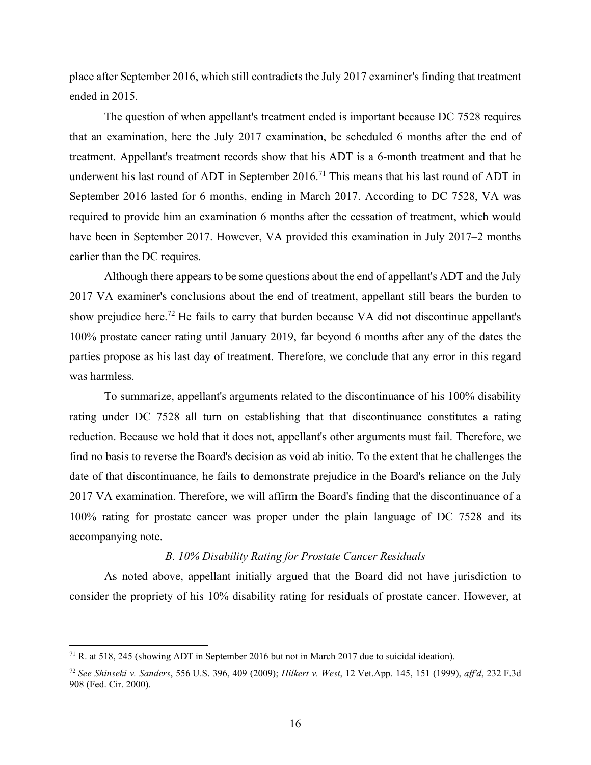place after September 2016, which still contradicts the July 2017 examiner's finding that treatment ended in 2015.

The question of when appellant's treatment ended is important because DC 7528 requires that an examination, here the July 2017 examination, be scheduled 6 months after the end of treatment. Appellant's treatment records show that his ADT is a 6-month treatment and that he underwent his last round of ADT in September 2016.<sup>71</sup> This means that his last round of ADT in September 2016 lasted for 6 months, ending in March 2017. According to DC 7528, VA was required to provide him an examination 6 months after the cessation of treatment, which would have been in September 2017. However, VA provided this examination in July 2017–2 months earlier than the DC requires.

 Although there appears to be some questions about the end of appellant's ADT and the July 2017 VA examiner's conclusions about the end of treatment, appellant still bears the burden to show prejudice here.<sup>72</sup> He fails to carry that burden because VA did not discontinue appellant's 100% prostate cancer rating until January 2019, far beyond 6 months after any of the dates the parties propose as his last day of treatment. Therefore, we conclude that any error in this regard was harmless.

 To summarize, appellant's arguments related to the discontinuance of his 100% disability rating under DC 7528 all turn on establishing that that discontinuance constitutes a rating reduction. Because we hold that it does not, appellant's other arguments must fail. Therefore, we find no basis to reverse the Board's decision as void ab initio. To the extent that he challenges the date of that discontinuance, he fails to demonstrate prejudice in the Board's reliance on the July 2017 VA examination. Therefore, we will affirm the Board's finding that the discontinuance of a 100% rating for prostate cancer was proper under the plain language of DC 7528 and its accompanying note.

### *B. 10% Disability Rating for Prostate Cancer Residuals*

 As noted above, appellant initially argued that the Board did not have jurisdiction to consider the propriety of his 10% disability rating for residuals of prostate cancer. However, at

<sup>71</sup> R. at 518, 245 (showing ADT in September 2016 but not in March 2017 due to suicidal ideation).

<sup>72</sup> *See Shinseki v. Sanders*, 556 U.S. 396, 409 (2009); *Hilkert v. West*, 12 Vet.App. 145, 151 (1999), *aff'd*, 232 F.3d 908 (Fed. Cir. 2000).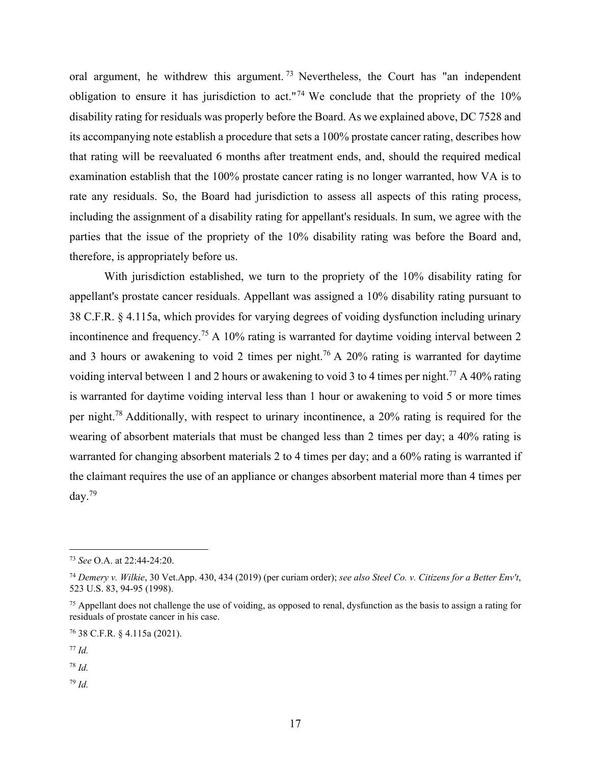oral argument, he withdrew this argument.<sup>73</sup> Nevertheless, the Court has "an independent obligation to ensure it has jurisdiction to act."<sup>74</sup> We conclude that the propriety of the  $10\%$ disability rating for residuals was properly before the Board. As we explained above, DC 7528 and its accompanying note establish a procedure that sets a 100% prostate cancer rating, describes how that rating will be reevaluated 6 months after treatment ends, and, should the required medical examination establish that the 100% prostate cancer rating is no longer warranted, how VA is to rate any residuals. So, the Board had jurisdiction to assess all aspects of this rating process, including the assignment of a disability rating for appellant's residuals. In sum, we agree with the parties that the issue of the propriety of the 10% disability rating was before the Board and, therefore, is appropriately before us.

 With jurisdiction established, we turn to the propriety of the 10% disability rating for appellant's prostate cancer residuals. Appellant was assigned a 10% disability rating pursuant to 38 C.F.R. § 4.115a, which provides for varying degrees of voiding dysfunction including urinary incontinence and frequency.<sup>75</sup> A 10% rating is warranted for daytime voiding interval between 2 and 3 hours or awakening to void 2 times per night.<sup>76</sup> A 20% rating is warranted for daytime voiding interval between 1 and 2 hours or awakening to void 3 to 4 times per night.<sup>77</sup> A 40% rating is warranted for daytime voiding interval less than 1 hour or awakening to void 5 or more times per night.78 Additionally, with respect to urinary incontinence, a 20% rating is required for the wearing of absorbent materials that must be changed less than 2 times per day; a 40% rating is warranted for changing absorbent materials 2 to 4 times per day; and a 60% rating is warranted if the claimant requires the use of an appliance or changes absorbent material more than 4 times per day.<sup>79</sup>

<sup>78</sup> *Id.*

<sup>79</sup> *Id.*

<sup>73</sup> *See* O.A. at 22:44-24:20.

<sup>74</sup> *Demery v. Wilkie*, 30 Vet.App. 430, 434 (2019) (per curiam order); *see also Steel Co. v. Citizens for a Better Env't*, 523 U.S. 83, 94-95 (1998).

 $<sup>75</sup>$  Appellant does not challenge the use of voiding, as opposed to renal, dysfunction as the basis to assign a rating for</sup> residuals of prostate cancer in his case.

<sup>76 38</sup> C.F.R. § 4.115a (2021).

<sup>77</sup> *Id.*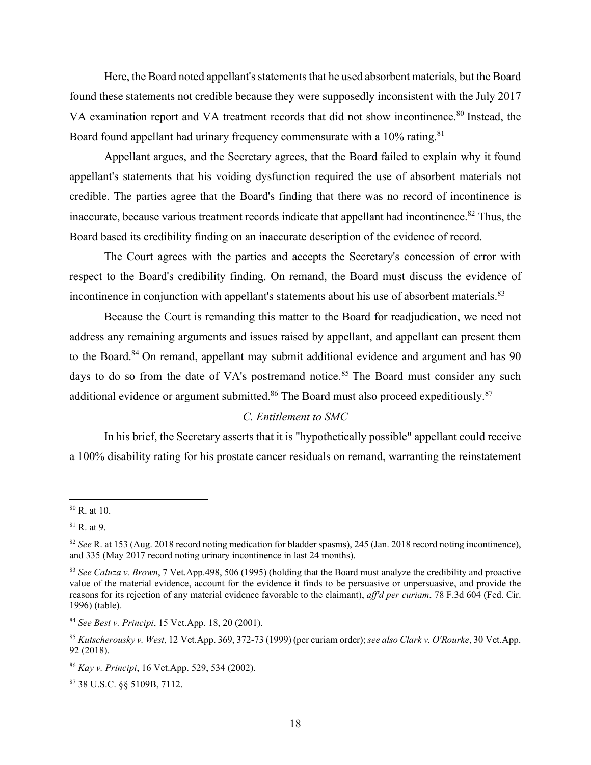Here, the Board noted appellant's statements that he used absorbent materials, but the Board found these statements not credible because they were supposedly inconsistent with the July 2017 VA examination report and VA treatment records that did not show incontinence.<sup>80</sup> Instead, the Board found appellant had urinary frequency commensurate with a 10% rating.<sup>81</sup>

Appellant argues, and the Secretary agrees, that the Board failed to explain why it found appellant's statements that his voiding dysfunction required the use of absorbent materials not credible. The parties agree that the Board's finding that there was no record of incontinence is inaccurate, because various treatment records indicate that appellant had incontinence.<sup>82</sup> Thus, the Board based its credibility finding on an inaccurate description of the evidence of record.

 The Court agrees with the parties and accepts the Secretary's concession of error with respect to the Board's credibility finding. On remand, the Board must discuss the evidence of incontinence in conjunction with appellant's statements about his use of absorbent materials.<sup>83</sup>

 Because the Court is remanding this matter to the Board for readjudication, we need not address any remaining arguments and issues raised by appellant, and appellant can present them to the Board.<sup>84</sup> On remand, appellant may submit additional evidence and argument and has 90 days to do so from the date of VA's postremand notice.<sup>85</sup> The Board must consider any such additional evidence or argument submitted.<sup>86</sup> The Board must also proceed expeditiously.<sup>87</sup>

## *C. Entitlement to SMC*

 In his brief, the Secretary asserts that it is "hypothetically possible" appellant could receive a 100% disability rating for his prostate cancer residuals on remand, warranting the reinstatement

87 38 U.S.C. §§ 5109B, 7112.

 $80$  R. at 10.

 $81$  R. at 9.

<sup>82</sup> *See* R. at 153 (Aug. 2018 record noting medication for bladder spasms), 245 (Jan. 2018 record noting incontinence), and 335 (May 2017 record noting urinary incontinence in last 24 months).

<sup>83</sup> *See Caluza v. Brown*, 7 Vet.App.498, 506 (1995) (holding that the Board must analyze the credibility and proactive value of the material evidence, account for the evidence it finds to be persuasive or unpersuasive, and provide the reasons for its rejection of any material evidence favorable to the claimant), *aff'd per curiam*, 78 F.3d 604 (Fed. Cir. 1996) (table).

<sup>84</sup> *See Best v. Principi*, 15 Vet.App. 18, 20 (2001).

<sup>85</sup> *Kutscherousky v. West*, 12 Vet.App. 369, 372-73 (1999) (per curiam order); *see also Clark v. O'Rourke*, 30 Vet.App. 92 (2018).

<sup>86</sup> *Kay v. Principi*, 16 Vet.App. 529, 534 (2002).